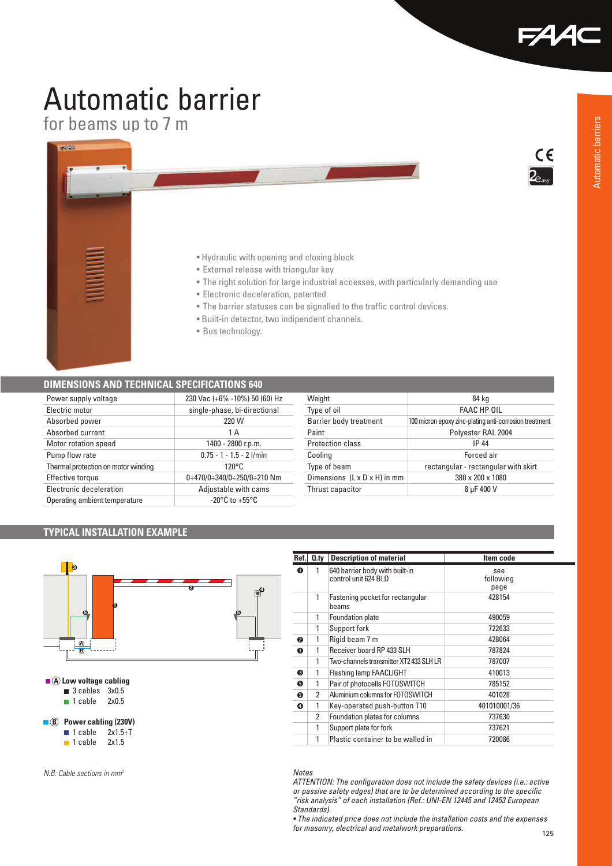$\epsilon$ 

# Automatic barrier

for beams up to 7 m



#### **DIMENSIONS AND TECHNICAL SPECIFICATIONS 640**

| Power supply voltage                | 230 Vac (+6% -10%) 50 (60) Hz      |
|-------------------------------------|------------------------------------|
| Electric motor                      | single-phase, bi-directional       |
| Absorbed power                      | 220 W                              |
| Absorbed current                    | 1 A                                |
| Motor rotation speed                | 1400 - 2800 r.p.m.                 |
| Pump flow rate                      | $0.75 - 1 - 1.5 - 2$ l/min         |
| Thermal protection on motor winding | $120^{\circ}$ C                    |
| Effective torque                    | 0:470/0:340/0:250/0:210 Nm         |
| Electronic deceleration             | Adjustable with cams               |
| Operating ambient temperature       | $-20^{\circ}$ C to $+55^{\circ}$ C |

| Weight<br>84 kg<br><b>FAAC HP OIL</b><br>Type of oil<br>100 micron epoxy zinc-plating anti-corrosion treatment<br>Barrier body treatment |
|------------------------------------------------------------------------------------------------------------------------------------------|
|                                                                                                                                          |
|                                                                                                                                          |
|                                                                                                                                          |
| Paint<br>Polyester RAL 2004                                                                                                              |
| Protection class<br><b>IP 44</b>                                                                                                         |
| Forced air<br>Cooling                                                                                                                    |
| Type of beam<br>rectangular - rectangular with skirt                                                                                     |
| Dimensions (L x D x H) in mm<br>380 x 200 x 1080                                                                                         |
| 8 µF 400 V<br>Thrust capacitor                                                                                                           |

#### **TYPICAL INSTALLATION EXAMPLE**



**Ref.** 0.ty Description of material **Item code n** 1 640 barrier body with built-in control unit 624 BLD see following page 1 Fastening pocket for rectangular beams 428154 1 Foundation plate 490059 1 Support fork 722633 **o** 1 Rigid beam 7 m 428064 **o** 1 Receiver board RP 433 SLH 787824 1 Two-channels transmitter XT2 433 SLH LR 787007 **e** 1 Flashing lamp FAACLIGHT 410013 **8** 1 Pair of photocells FOTOSWITCH 785152 <sup>1</sup> 2 Aluminium columns for FOTOSWITCH 401028<br>
1 Key-operated push-button T10 401010001/36 **Q** 1 Key-operated push-button T10 2 Foundation plates for columns 737630 1 Support plate for fork 737621 1 Plastic container to be walled in 720086

### *Notes*

*ATTENTION: The configuration does not include the safety devices (i.e.: active or passive safety edges) that are to be determined according to the specific "risk analysis" of each installation (Ref.: UNI-EN 12445 and 12453 European Standards).*

• The indicated price does not include the installation costs and the expenses *for masonry, electrical and metalwork preparations.*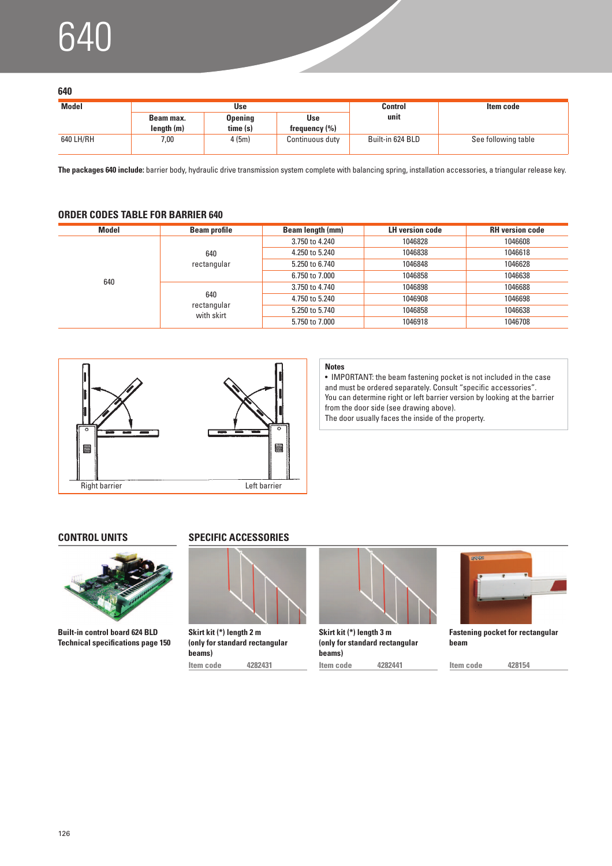# $\sqrt{\epsilon}$

|                  | ٦            |
|------------------|--------------|
| ٠<br>I<br>$\sim$ | ۰.<br>$\sim$ |

| ---          |                         |                            |                          |                  |                     |
|--------------|-------------------------|----------------------------|--------------------------|------------------|---------------------|
| <b>Model</b> |                         | <b>Use</b>                 |                          | <b>Control</b>   | Item code           |
|              | Beam max.<br>length (m) | <b>Opening</b><br>time (s) | Use<br>frequency $(\% )$ | unit             |                     |
| 640 LH/RH    | 7,00                    | 4(5m)                      | Continuous duty          | Built-in 624 BLD | See following table |

**The packages 640 include:** barrier body, hydraulic drive transmission system complete with balancing spring, installation accessories, a triangular release key.

### **ORDER CODES TABLE FOR BARRIER 640**

| Model | <b>Beam profile</b>              | Beam length (mm) | <b>LH</b> version code | <b>RH</b> version code |
|-------|----------------------------------|------------------|------------------------|------------------------|
|       |                                  | 3.750 to 4.240   | 1046828                | 1046608                |
|       | 640                              | 4.250 to 5.240   | 1046838                | 1046618                |
|       | rectangular                      | 5.250 to 6.740   | 1046848                | 1046628                |
| 640   |                                  | 6.750 to 7.000   | 1046858                | 1046638                |
|       | 640<br>rectangular<br>with skirt | 3.750 to 4.740   | 1046898                | 1046688                |
|       |                                  | 4.750 to 5.240   | 1046908                | 1046698                |
|       |                                  | 5.250 to 5.740   | 1046858                | 1046638                |
|       |                                  | 5.750 to 7.000   | 1046918                | 1046708                |



#### **Notes**

• IMPORTANT: the beam fastening pocket is not included in the case and must be ordered separately. Consult "specific accessories". You can determine right or left barrier version by looking at the barrier from the door side (see drawing above). The door usually faces the inside of the property.



**Built-in control board 624 BLD Technical specifications page 150**

### **CONTROL UNITS SPECIFIC ACCESSORIES**



**Skirt kit (\*) length 2 m (only for standard rectangular beams)**



**Skirt kit (\*) length 3 m (only for standard rectangular beams)**



**Fastening pocket for rectangular beam**

**Item code 4282431 Item code 4282441 Item code 428154**